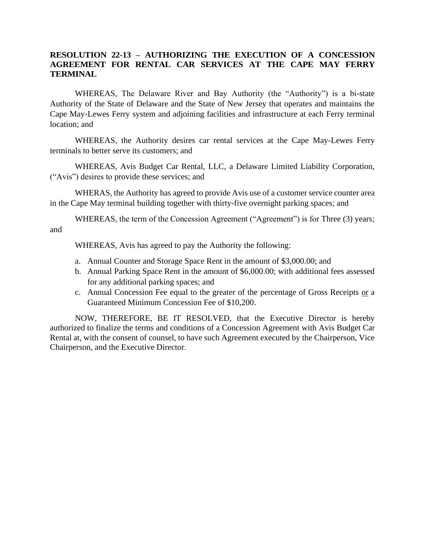## **RESOLUTION 22-13 – AUTHORIZING THE EXECUTION OF A CONCESSION AGREEMENT FOR RENTAL CAR SERVICES AT THE CAPE MAY FERRY TERMINAL**

WHEREAS, The Delaware River and Bay Authority (the "Authority") is a bi-state Authority of the State of Delaware and the State of New Jersey that operates and maintains the Cape May-Lewes Ferry system and adjoining facilities and infrastructure at each Ferry terminal location; and

WHEREAS, the Authority desires car rental services at the Cape May-Lewes Ferry terminals to better serve its customers; and

WHEREAS, Avis Budget Car Rental, LLC, a Delaware Limited Liability Corporation, ("Avis") desires to provide these services; and

WHERAS, the Authority has agreed to provide Avis use of a customer service counter area in the Cape May terminal building together with thirty-five overnight parking spaces; and

WHEREAS, the term of the Concession Agreement ("Agreement") is for Three (3) years; and

WHEREAS, Avis has agreed to pay the Authority the following:

- a. Annual Counter and Storage Space Rent in the amount of \$3,000.00; and
- b. Annual Parking Space Rent in the amount of \$6,000.00; with additional fees assessed for any additional parking spaces; and
- c. Annual Concession Fee equal to the greater of the percentage of Gross Receipts or a Guaranteed Minimum Concession Fee of \$10,200.

NOW, THEREFORE, BE IT RESOLVED, that the Executive Director is hereby authorized to finalize the terms and conditions of a Concession Agreement with Avis Budget Car Rental at, with the consent of counsel, to have such Agreement executed by the Chairperson, Vice Chairperson, and the Executive Director.